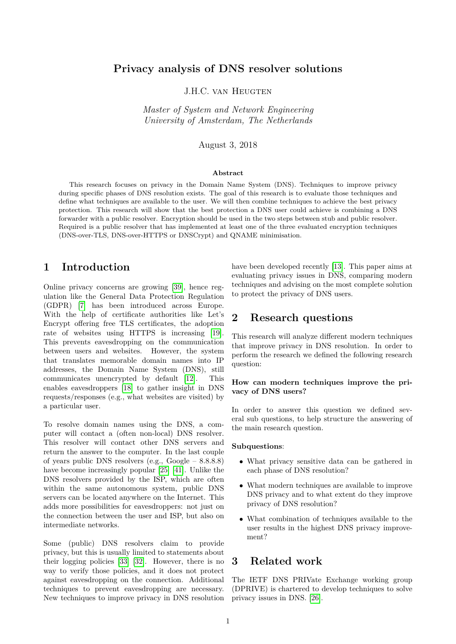## <span id="page-0-0"></span>**Privacy analysis of DNS resolver solutions**

J.H.C. VAN HEUGTEN

*Master of System and Network Engineering University of Amsterdam, The Netherlands*

August 3, 2018

#### **Abstract**

This research focuses on privacy in the Domain Name System (DNS). Techniques to improve privacy during specific phases of DNS resolution exists. The goal of this research is to evaluate those techniques and define what techniques are available to the user. We will then combine techniques to achieve the best privacy protection. This research will show that the best protection a DNS user could achieve is combining a DNS forwarder with a public resolver. Encryption should be used in the two steps between stub and public resolver. Required is a public resolver that has implemented at least one of the three evaluated encryption techniques (DNS-over-TLS, DNS-over-HTTPS or DNSCrypt) and QNAME minimisation.

## **1 Introduction**

Online privacy concerns are growing [\[39\]](#page-16-0), hence regulation like the General Data Protection Regulation (GDPR) [\[7\]](#page-15-0) has been introduced across Europe. With the help of certificate authorities like Let's Encrypt offering free TLS certificates, the adoption rate of websites using HTTPS is increasing [\[19\]](#page-15-1). This prevents eavesdropping on the communication between users and websites. However, the system that translates memorable domain names into IP addresses, the Domain Name System (DNS), still communicates unencrypted by default [\[12\]](#page-15-2). This enables eavesdroppers [\[18\]](#page-15-3) to gather insight in DNS requests/responses (e.g., what websites are visited) by a particular user.

To resolve domain names using the DNS, a computer will contact a (often non-local) DNS resolver. This resolver will contact other DNS servers and return the answer to the computer. In the last couple of years public DNS resolvers (e.g., Google – 8.8.8.8) have become increasingly popular [\[25\]](#page-15-4) [\[41\]](#page-16-1). Unlike the DNS resolvers provided by the ISP, which are often within the same autonomous system, public DNS servers can be located anywhere on the Internet. This adds more possibilities for eavesdroppers: not just on the connection between the user and ISP, but also on intermediate networks.

Some (public) DNS resolvers claim to provide privacy, but this is usually limited to statements about their logging policies [\[33\]](#page-16-2) [\[32\]](#page-16-3). However, there is no way to verify those policies, and it does not protect against eavesdropping on the connection. Additional techniques to prevent eavesdropping are necessary. New techniques to improve privacy in DNS resolution have been developed recently [\[13\]](#page-15-5). This paper aims at evaluating privacy issues in DNS, comparing modern techniques and advising on the most complete solution to protect the privacy of DNS users.

### **2 Research questions**

This research will analyze different modern techniques that improve privacy in DNS resolution. In order to perform the research we defined the following research question:

#### **How can modern techniques improve the privacy of DNS users?**

In order to answer this question we defined several sub questions, to help structure the answering of the main research question.

#### **Subquestions**:

- What privacy sensitive data can be gathered in each phase of DNS resolution?
- What modern techniques are available to improve DNS privacy and to what extent do they improve privacy of DNS resolution?
- What combination of techniques available to the user results in the highest DNS privacy improvement?

## **3 Related work**

The IETF DNS PRIVate Exchange working group (DPRIVE) is chartered to develop techniques to solve privacy issues in DNS. [\[26\]](#page-15-6).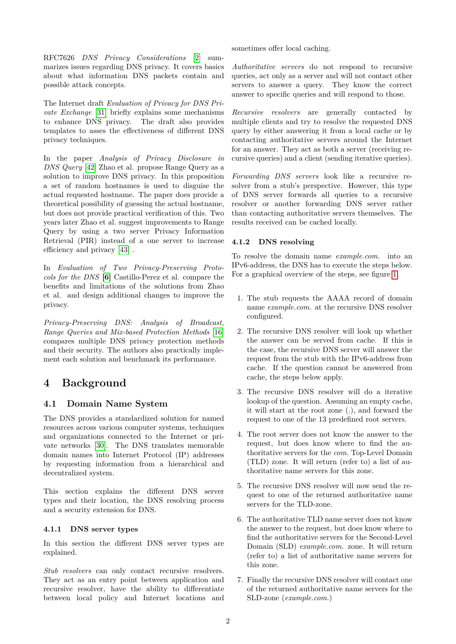RFC7626 *DNS Privacy Considerations* [\[2\]](#page-15-7) summarizes issues regarding DNS privacy. It covers basics about what information DNS packets contain and possible attack concepts.

The Internet draft *Evaluation of Privacy for DNS Private Exchange* [\[31\]](#page-16-4) briefly explains some mechanisms to enhance DNS privacy. The draft also provides templates to asses the effectiveness of different DNS privacy techniques.

In the paper *Analysis of Privacy Disclosure in DNS Query* [\[42\]](#page-16-5) Zhao et al. propose Range Query as a solution to improve DNS privacy. In this proposition a set of random hostnames is used to disguise the actual requested hostname. The paper does provide a theoretical possibility of guessing the actual hostname, but does not provide practical verification of this. Two years later Zhao et al. suggest improvements to Range Query by using a two server Privacy Information Retrieval (PIR) instead of a one server to increase efficiency and privacy [\[43\]](#page-16-6) .

In *Evaluation of Two Privacy-Preserving Protocols for the DNS* **[\[6\]](#page-15-8)** Castillo-Perez et al. compare the benefits and limitations of the solutions from Zhao et al. and design additional changes to improve the privacy.

*Privacy-Preserving DNS: Analysis of Broadcast, Range Queries and Mix-based Protection Methods* [\[16\]](#page-15-9) compares multiple DNS privacy protection methods and their security. The authors also practically implement each solution and benchmark its performance.

# **4 Background**

### **4.1 Domain Name System**

The DNS provides a standardized solution for named resources across various computer systems, techniques and organizations connected to the Internet or private networks [\[30\]](#page-16-7). The DNS translates memorable domain names into Internet Protocol (IP) addresses by requesting information from a hierarchical and decentralized system.

This section explains the different DNS server types and their location, the DNS resolving process and a security extension for DNS.

#### **4.1.1 DNS server types**

In this section the different DNS server types are explained.

*Stub resolvers* can only contact recursive resolvers. They act as an entry point between application and recursive resolver, have the ability to differentiate between local policy and Internet locations and

sometimes offer local caching.

*Authoritative servers* do not respond to recursive queries, act only as a server and will not contact other servers to answer a query. They know the correct answer to specific queries and will respond to those.

*Recursive resolvers* are generally contacted by multiple clients and try to resolve the requested DNS query by either answering it from a local cache or by contacting authoritative servers around the Internet for an answer. They act as both a server (receiving recursive queries) and a client (sending iterative queries).

*Forwarding DNS servers* look like a recursive resolver from a stub's perspective. However, this type of DNS server forwards all queries to a recursive resolver or another forwarding DNS server rather than contacting authoritative servers themselves. The results received can be cached locally.

#### <span id="page-1-0"></span>**4.1.2 DNS resolving**

To resolve the domain name *example.com.* into an IPv6-address, the DNS has to execute the steps below. For a graphical overview of the steps, see figure [1.](#page-2-0)

- 1. The stub requests the AAAA record of domain name *example.com.* at the recursive DNS resolver configured.
- 2. The recursive DNS resolver will look up whether the answer can be served from cache. If this is the case, the recursive DNS server will answer the request from the stub with the IPv6-address from cache. If the question cannot be answered from cache, the steps below apply.
- 3. The recursive DNS resolver will do a iterative lookup of the question. Assuming an empty cache, it will start at the root zone (.), and forward the request to one of the 13 predefined root servers.
- 4. The root server does not know the answer to the request, but does know where to find the authoritative servers for the *com.* Top-Level Domain (TLD) zone. It will return (refer to) a list of authoritative name servers for this zone.
- 5. The recursive DNS resolver will now send the request to one of the returned authoritative name servers for the TLD-zone.
- 6. The authoritative TLD name server does not know the answer to the request, but does know where to find the authoritative servers for the Second-Level Domain (SLD) *example.com.* zone. It will return (refer to) a list of authoritative name servers for this zone.
- 7. Finally the recursive DNS resolver will contact one of the returned authoritative name servers for the SLD-zone (*example.com.*)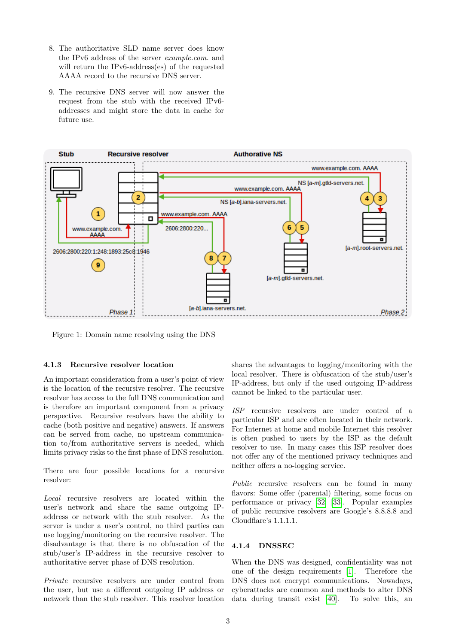- 8. The authoritative SLD name server does know the IPv6 address of the server *example.com.* and will return the IPv6-address(es) of the requested AAAA record to the recursive DNS server.
- 9. The recursive DNS server will now answer the request from the stub with the received IPv6 addresses and might store the data in cache for future use.



<span id="page-2-0"></span>Figure 1: Domain name resolving using the DNS

#### **4.1.3 Recursive resolver location**

An important consideration from a user's point of view is the location of the recursive resolver. The recursive resolver has access to the full DNS communication and is therefore an important component from a privacy perspective. Recursive resolvers have the ability to cache (both positive and negative) answers. If answers can be served from cache, no upstream communication to/from authoritative servers is needed, which limits privacy risks to the first phase of DNS resolution.

There are four possible locations for a recursive resolver:

*Local* recursive resolvers are located within the user's network and share the same outgoing IPaddress or network with the stub resolver. As the server is under a user's control, no third parties can use logging/monitoring on the recursive resolver. The disadvantage is that there is no obfuscation of the stub/user's IP-address in the recursive resolver to authoritative server phase of DNS resolution.

*Private* recursive resolvers are under control from the user, but use a different outgoing IP address or network than the stub resolver. This resolver location shares the advantages to logging/monitoring with the local resolver. There is obfuscation of the stub/user's IP-address, but only if the used outgoing IP-address cannot be linked to the particular user.

*ISP* recursive resolvers are under control of a particular ISP and are often located in their network. For Internet at home and mobile Internet this resolver is often pushed to users by the ISP as the default resolver to use. In many cases this ISP resolver does not offer any of the mentioned privacy techniques and neither offers a no-logging service.

*Public* recursive resolvers can be found in many flavors: Some offer (parental) filtering, some focus on performance or privacy [\[32\]](#page-16-3) [\[33\]](#page-16-2). Popular examples of public recursive resolvers are Google's 8.8.8.8 and Cloudflare's 1.1.1.1.

#### **4.1.4 DNSSEC**

When the DNS was designed, confidentiality was not one of the design requirements [\[1\]](#page-15-10). Therefore the DNS does not encrypt communications. Nowadays, cyberattacks are common and methods to alter DNS data during transit exist [\[40\]](#page-16-8). To solve this, an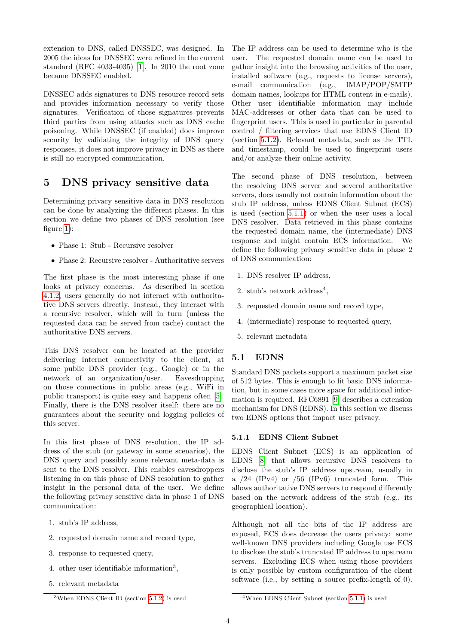extension to DNS, called DNSSEC, was designed. In 2005 the ideas for DNSSEC were refined in the current standard (RFC 4033-4035) [\[1\]](#page-15-10). In 2010 the root zone became DNSSEC enabled.

DNSSEC adds signatures to DNS resource record sets and provides information necessary to verify those signatures. Verification of those signatures prevents third parties from using attacks such as DNS cache poisoning. While DNSSEC (if enabled) does improve security by validating the integrity of DNS query responses, it does not improve privacy in DNS as there is still no encrypted communication.

## **5 DNS privacy sensitive data**

Determining privacy sensitive data in DNS resolution can be done by analyzing the different phases. In this section we define two phases of DNS resolution (see figure [1\)](#page-2-0):

- Phase 1: Stub Recursive resolver
- Phase 2: Recursive resolver Authoritative servers

The first phase is the most interesting phase if one looks at privacy concerns. As described in section [4.1.2,](#page-1-0) users generally do not interact with authoritative DNS servers directly. Instead, they interact with a recursive resolver, which will in turn (unless the requested data can be served from cache) contact the authoritative DNS servers.

This DNS resolver can be located at the provider delivering Internet connectivity to the client, at some public DNS provider (e.g., Google) or in the network of an organization/user. Eavesdropping on those connections in public areas (e.g., WiFi in public transport) is quite easy and happens often [\[5\]](#page-15-11). Finally, there is the DNS resolver itself: there are no guarantees about the security and logging policies of this server.

In this first phase of DNS resolution, the IP address of the stub (or gateway in some scenarios), the DNS query and possibly some relevant meta-data is sent to the DNS resolver. This enables eavesdroppers listening in on this phase of DNS resolution to gather insight in the personal data of the user. We define the following privacy sensitive data in phase 1 of DNS communication:

- 1. stub's IP address,
- 2. requested domain name and record type,
- 3. response to requested query,
- 4. other user identifiable information<sup>3</sup> ,
- 5. relevant metadata

The IP address can be used to determine who is the user. The requested domain name can be used to gather insight into the browsing activities of the user, installed software (e.g., requests to license servers), e-mail communication (e.g., IMAP/POP/SMTP domain names, lookups for HTML content in e-mails). Other user identifiable information may include MAC-addresses or other data that can be used to fingerprint users. This is used in particular in parental control / filtering services that use EDNS Client ID (section [5.1.2\)](#page-4-0). Relevant metadata, such as the TTL and timestamp, could be used to fingerprint users and/or analyze their online activity.

The second phase of DNS resolution, between the resolving DNS server and several authoritative servers, does usually not contain information about the stub IP address, unless EDNS Client Subnet (ECS) is used (section [5.1.1\)](#page-3-0) or when the user uses a local DNS resolver. Data retrieved in this phase contains the requested domain name, the (intermediate) DNS response and might contain ECS information. We define the following privacy sensitive data in phase 2 of DNS communication:

- 1. DNS resolver IP address,
- 2. stub's network address<sup>4</sup>,
- 3. requested domain name and record type,
- 4. (intermediate) response to requested query,
- 5. relevant metadata

## **5.1 EDNS**

Standard DNS packets support a maximum packet size of 512 bytes. This is enough to fit basic DNS information, but in some cases more space for additional information is required. RFC6891 [\[9\]](#page-15-12) describes a extension mechanism for DNS (EDNS). In this section we discuss two EDNS options that impact user privacy.

#### <span id="page-3-0"></span>**5.1.1 EDNS Client Subnet**

EDNS Client Subnet (ECS) is an application of EDNS [\[8\]](#page-15-13) that allows recursive DNS resolvers to disclose the stub's IP address upstream, usually in a  $/24$  (IPv4) or  $/56$  (IPv6) truncated form. This allows authoritative DNS servers to respond differently based on the network address of the stub (e.g., its geographical location).

Although not all the bits of the IP address are exposed, ECS does decrease the users privacy: some well-known DNS providers including Google use ECS to disclose the stub's truncated IP address to upstream servers. Excluding ECS when using those providers is only possible by custom configuration of the client software (i.e., by setting a source prefix-length of 0).

 $3$ When EDNS Client ID (section [5.1.2\)](#page-4-0) is used

<sup>4</sup>When EDNS Client Subnet (section [5.1.1\)](#page-3-0) is used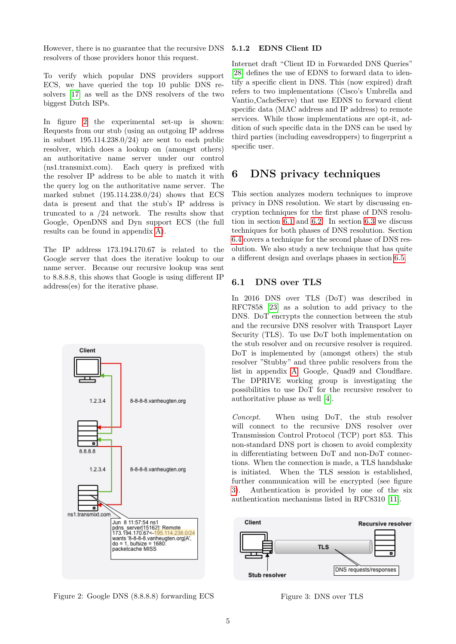However, there is no guarantee that the recursive DNS resolvers of those providers honor this request.

To verify which popular DNS providers support ECS, we have queried the top 10 public DNS resolvers [\[17\]](#page-15-14) as well as the DNS resolvers of the two biggest Dutch ISPs.

In figure [2](#page-4-1) the experimental set-up is shown: Requests from our stub (using an outgoing IP address in subnet  $195.114.238.0/24$  are sent to each public resolver, which does a lookup on (amongst others) an authoritative name server under our control (ns1.transmixt.com). Each query is prefixed with the resolver IP address to be able to match it with the query log on the authoritative name server. The marked subnet  $(195.114.238.0/24)$  shows that ECS data is present and that the stub's IP address is truncated to a /24 network. The results show that Google, OpenDNS and Dyn support ECS (the full results can be found in appendix [A\)](#page-13-0).

The IP address 173.194.170.67 is related to the Google server that does the iterative lookup to our name server. Because our recursive lookup was sent to 8.8.8.8, this shows that Google is using different IP address(es) for the iterative phase.



<span id="page-4-1"></span><span id="page-4-0"></span>Figure 2: Google DNS (8.8.8.8) forwarding ECS

#### **5.1.2 EDNS Client ID**

Internet draft "Client ID in Forwarded DNS Queries" [\[28\]](#page-16-9) defines the use of EDNS to forward data to identify a specific client in DNS. This (now expired) draft refers to two implementations (Cisco's Umbrella and Vantio CacheServe) that use EDNS to forward client specific data (MAC address and IP address) to remote services. While those implementations are opt-it, addition of such specific data in the DNS can be used by third parties (including eavesdroppers) to fingerprint a specific user.

## <span id="page-4-4"></span>**6 DNS privacy techniques**

This section analyzes modern techniques to improve privacy in DNS resolution. We start by discussing encryption techniques for the first phase of DNS resolution in section [6.1](#page-4-2) and [6.2.](#page-5-0) In section [6.3](#page-5-1) we discuss techniques for both phases of DNS resolution. Section [6.4](#page-6-0) covers a technique for the second phase of DNS resolution. We also study a new technique that has quite a different design and overlaps phases in section [6.5.](#page-7-0)

#### <span id="page-4-2"></span>**6.1 DNS over TLS**

In 2016 DNS over TLS (DoT) was described in RFC7858 [\[23\]](#page-15-15) as a solution to add privacy to the DNS. DoT encrypts the connection between the stub and the recursive DNS resolver with Transport Layer Security (TLS). To use DoT both implementation on the stub resolver and on recursive resolver is required. DoT is implemented by (amongst others) the stub resolver "Stubby" and three public resolvers from the list in appendix [A:](#page-13-0) Google, Quad9 and Cloudflare. The DPRIVE working group is investigating the possibilities to use DoT for the recursive resolver to authoritative phase as well [\[4\]](#page-15-16).

*Concept.* When using DoT, the stub resolver will connect to the recursive DNS resolver over Transmission Control Protocol (TCP) port 853. This non-standard DNS port is chosen to avoid complexity in differentiating between DoT and non-DoT connections. When the connection is made, a TLS handshake is initiated. When the TLS session is established, further communication will be encrypted (see figure [3\)](#page-4-3). Authentication is provided by one of the six authentication mechanisms listed in RFC8310 [\[11\]](#page-15-17).



<span id="page-4-3"></span>Figure 3: DNS over TLS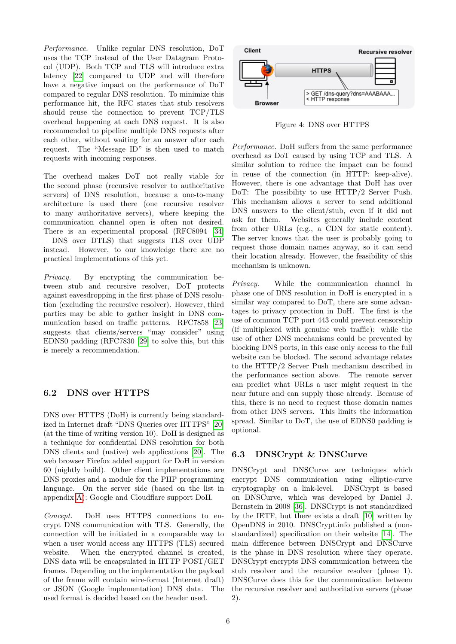*Performance.* Unlike regular DNS resolution, DoT uses the TCP instead of the User Datagram Protocol (UDP). Both TCP and TLS will introduce extra latency [\[22\]](#page-15-18) compared to UDP and will therefore have a negative impact on the performance of DoT compared to regular DNS resolution. To minimize this performance hit, the RFC states that stub resolvers should reuse the connection to prevent TCP/TLS overhead happening at each DNS request. It is also recommended to pipeline multiple DNS requests after each other, without waiting for an answer after each request. The "Message ID" is then used to match requests with incoming responses.

The overhead makes DoT not really viable for the second phase (recursive resolver to authoritative servers) of DNS resolution, because a one-to-many architecture is used there (one recursive resolver to many authoritative servers), where keeping the communication channel open is often not desired. There is an experimental proposal (RFC8094 [\[34\]](#page-16-10) – DNS over DTLS) that suggests TLS over UDP instead. However, to our knowledge there are no practical implementations of this yet.

*Privacy.* By encrypting the communication between stub and recursive resolver, DoT protects against eavesdropping in the first phase of DNS resolution (excluding the recursive resolver). However, third parties may be able to gather insight in DNS communication based on traffic patterns. RFC7858 [\[23\]](#page-15-15) suggests that clients/servers "may consider" using EDNS0 padding (RFC7830 [\[29\]](#page-16-11) to solve this, but this is merely a recommendation.

## <span id="page-5-0"></span>**6.2 DNS over HTTPS**

DNS over HTTPS (DoH) is currently being standardized in Internet draft "DNS Queries over HTTPS" [\[20\]](#page-15-19) (at the time of writing version 10). DoH is designed as a technique for confidential DNS resolution for both DNS clients and (native) web applications [\[20\]](#page-15-19). The web browser Firefox added support for DoH in version 60 (nightly build). Other client implementations are DNS proxies and a module for the PHP programming language. On the server side (based on the list in appendix [A\)](#page-13-0): Google and Cloudflare support DoH.

*Concept.* DoH uses HTTPS connections to encrypt DNS communication with TLS. Generally, the connection will be initiated in a comparable way to when a user would access any HTTPS (TLS) secured website. When the encrypted channel is created, DNS data will be encapsulated in HTTP POST/GET frames. Depending on the implementation the payload of the frame will contain wire-format (Internet draft) or JSON (Google implementation) DNS data. The used format is decided based on the header used.



Figure 4: DNS over HTTPS

*Performance.* DoH suffers from the same performance overhead as DoT caused by using TCP and TLS. A similar solution to reduce the impact can be found in reuse of the connection (in HTTP: keep-alive). However, there is one advantage that DoH has over DoT: The possibility to use HTTP/2 Server Push. This mechanism allows a server to send additional DNS answers to the client/stub, even if it did not ask for them. Websites generally include content from other URLs (e.g., a CDN for static content). The server knows that the user is probably going to request those domain names anyway, so it can send their location already. However, the feasibility of this mechanism is unknown.

*Privacy.* While the communication channel in phase one of DNS resolution in DoH is encrypted in a similar way compared to DoT, there are some advantages to privacy protection in DoH. The first is the use of common TCP port 443 could prevent censorship (if multiplexed with genuine web traffic): while the use of other DNS mechanisms could be prevented by blocking DNS ports, in this case only access to the full website can be blocked. The second advantage relates to the HTTP/2 Server Push mechanism described in the performance section above. The remote server can predict what URLs a user might request in the near future and can supply those already. Because of this, there is no need to request those domain names from other DNS servers. This limits the information spread. Similar to DoT, the use of EDNS0 padding is optional.

### <span id="page-5-1"></span>**6.3 DNSCrypt & DNSCurve**

DNSCrypt and DNSCurve are techniques which encrypt DNS communication using elliptic-curve cryptography on a link-level. DNSCrypt is based on DNSCurve, which was developed by Daniel J. Bernstein in 2008 [\[36\]](#page-16-12). DNSCrypt is not standardized by the IETF, but there exists a draft [\[10\]](#page-15-20) written by OpenDNS in 2010. DNSCrypt.info published a (nonstandardized) specification on their website [\[14\]](#page-15-21). The main difference between DNSCrypt and DNSCurve is the phase in DNS resolution where they operate. DNSCrypt encrypts DNS communication between the stub resolver and the recursive resolver (phase 1). DNSCurve does this for the communication between the recursive resolver and authoritative servers (phase 2).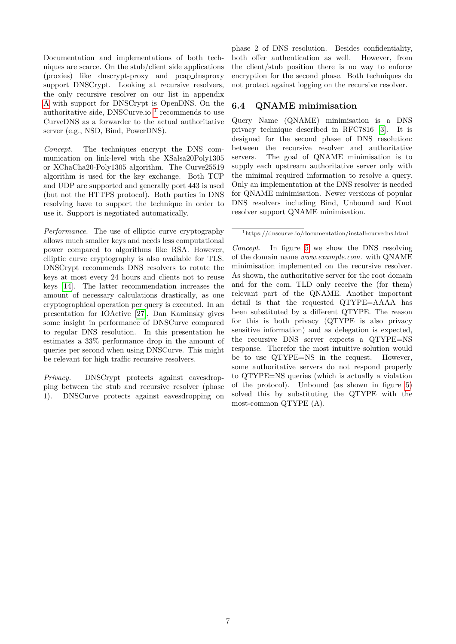Documentation and implementations of both techniques are scarce. On the stub/client side applications (proxies) like dnscrypt-proxy and pcap dnsproxy support DNSCrypt. Looking at recursive resolvers, the only recursive resolver on our list in appendix [A](#page-13-0) with support for DNSCrypt is OpenDNS. On the authoritative side, DNSCurve.io<sup>[1](#page-0-0)</sup> recommends to use CurveDNS as a forwarder to the actual authoritative server (e.g., NSD, Bind, PowerDNS).

*Concept.* The techniques encrypt the DNS communication on link-level with the XSalsa20Poly1305 or XChaCha20-Poly1305 algorithm. The Curve25519 algorithm is used for the key exchange. Both TCP and UDP are supported and generally port 443 is used (but not the HTTPS protocol). Both parties in DNS resolving have to support the technique in order to use it. Support is negotiated automatically.

*Performance.* The use of elliptic curve cryptography allows much smaller keys and needs less computational power compared to algorithms like RSA. However, elliptic curve cryptography is also available for TLS. DNSCrypt recommends DNS resolvers to rotate the keys at most every 24 hours and clients not to reuse keys [\[14\]](#page-15-21). The latter recommendation increases the amount of necessary calculations drastically, as one cryptographical operation per query is executed. In an presentation for IOActive [\[27\]](#page-15-22), Dan Kaminsky gives some insight in performance of DNSCurve compared to regular DNS resolution. In this presentation he estimates a 33% performance drop in the amount of queries per second when using DNSCurve. This might be relevant for high traffic recursive resolvers.

*Privacy.* DNSCrypt protects against eavesdropping between the stub and recursive resolver (phase 1). DNSCurve protects against eavesdropping on phase 2 of DNS resolution. Besides confidentiality, both offer authentication as well. However, from the client/stub position there is no way to enforce encryption for the second phase. Both techniques do not protect against logging on the recursive resolver.

#### <span id="page-6-0"></span>**6.4 QNAME minimisation**

Query Name (QNAME) minimisation is a DNS privacy technique described in RFC7816 [\[3\]](#page-15-23). It is designed for the second phase of DNS resolution: between the recursive resolver and authoritative servers. The goal of QNAME minimisation is to supply each upstream authoritative server only with the minimal required information to resolve a query. Only an implementation at the DNS resolver is needed for QNAME minimisation. Newer versions of popular DNS resolvers including Bind, Unbound and Knot resolver support QNAME minimisation.

<sup>1</sup>https://dnscurve.io/documentation/install-curvedns.html

*Concept.* In figure [5](#page-7-1) we show the DNS resolving of the domain name *www.example.com.* with QNAME minimisation implemented on the recursive resolver. As shown, the authoritative server for the root domain and for the com. TLD only receive the (for them) relevant part of the QNAME. Another important detail is that the requested QTYPE=AAAA has been substituted by a different QTYPE. The reason for this is both privacy (QTYPE is also privacy sensitive information) and as delegation is expected, the recursive DNS server expects a QTYPE=NS response. Therefor the most intuitive solution would be to use QTYPE=NS in the request. However, some authoritative servers do not respond properly to QTYPE=NS queries (which is actually a violation of the protocol). Unbound (as shown in figure [5\)](#page-7-1) solved this by substituting the QTYPE with the most-common QTYPE (A).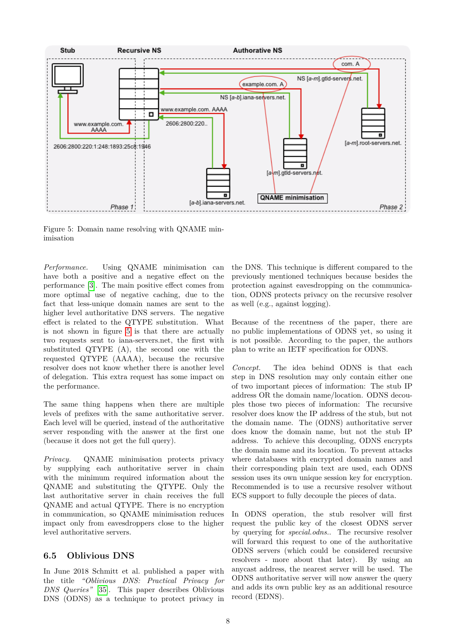

<span id="page-7-1"></span>Figure 5: Domain name resolving with QNAME minimisation

*Performance.* Using QNAME minimisation can have both a positive and a negative effect on the performance [\[3\]](#page-15-23). The main positive effect comes from more optimal use of negative caching, due to the fact that less-unique domain names are sent to the higher level authoritative DNS servers. The negative effect is related to the QTYPE substitution. What is not shown in figure [5](#page-7-1) is that there are actually two requests sent to iana-servers.net, the first with substituted QTYPE (A), the second one with the requested QTYPE (AAAA), because the recursive resolver does not know whether there is another level of delegation. This extra request has some impact on the performance.

The same thing happens when there are multiple levels of prefixes with the same authoritative server. Each level will be queried, instead of the authoritative server responding with the answer at the first one (because it does not get the full query).

*Privacy.* QNAME minimisation protects privacy by supplying each authoritative server in chain with the minimum required information about the QNAME and substituting the QTYPE. Only the last authoritative server in chain receives the full QNAME and actual QTYPE. There is no encryption in communication, so QNAME minimisation reduces impact only from eavesdroppers close to the higher level authoritative servers.

#### <span id="page-7-0"></span>**6.5 Oblivious DNS**

In June 2018 Schmitt et al. published a paper with the title *"Oblivious DNS: Practical Privacy for DNS Queries"* [\[35\]](#page-16-13). This paper describes Oblivious DNS (ODNS) as a technique to protect privacy in

the DNS. This technique is different compared to the previously mentioned techniques because besides the protection against eavesdropping on the communication, ODNS protects privacy on the recursive resolver as well (e.g., against logging).

Because of the recentness of the paper, there are no public implementations of ODNS yet, so using it is not possible. According to the paper, the authors plan to write an IETF specification for ODNS.

*Concept.* The idea behind ODNS is that each step in DNS resolution may only contain either one of two important pieces of information: The stub IP address OR the domain name/location. ODNS decouples those two pieces of information: The recursive resolver does know the IP address of the stub, but not the domain name. The (ODNS) authoritative server does know the domain name, but not the stub IP address. To achieve this decoupling, ODNS encrypts the domain name and its location. To prevent attacks where databases with encrypted domain names and their corresponding plain text are used, each ODNS session uses its own unique session key for encryption. Recommended is to use a recursive resolver without ECS support to fully decouple the pieces of data.

In ODNS operation, the stub resolver will first request the public key of the closest ODNS server by querying for *special.odns.*. The recursive resolver will forward this request to one of the authoritative ODNS servers (which could be considered recursive resolvers - more about that later). By using an anycast address, the nearest server will be used. The ODNS authoritative server will now answer the query and adds its own public key as an additional resource record (EDNS).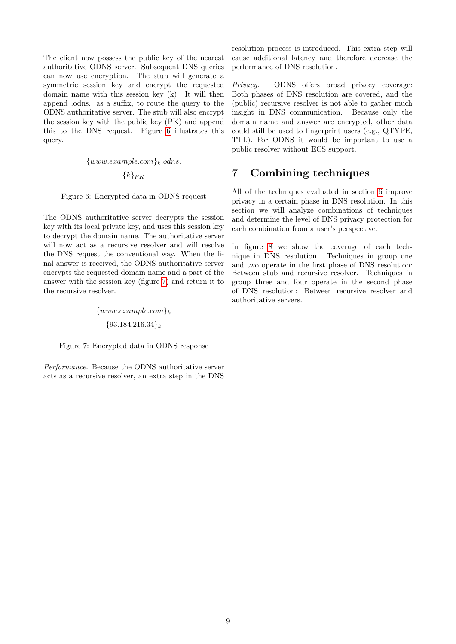The client now possess the public key of the nearest authoritative ODNS server. Subsequent DNS queries can now use encryption. The stub will generate a symmetric session key and encrypt the requested domain name with this session key (k). It will then append .odns. as a suffix, to route the query to the ODNS authoritative server. The stub will also encrypt the session key with the public key (PK) and append this to the DNS request. Figure [6](#page-8-0) illustrates this query.

<span id="page-8-0"></span>{*www.example.com*}*k.odns.*

{*k*}*PK*

Figure 6: Encrypted data in ODNS request

The ODNS authoritative server decrypts the session key with its local private key, and uses this session key to decrypt the domain name. The authoritative server will now act as a recursive resolver and will resolve the DNS request the conventional way. When the final answer is received, the ODNS authoritative server encrypts the requested domain name and a part of the answer with the session key (figure [7\)](#page-8-1) and return it to the recursive resolver.

> <span id="page-8-1"></span>{*www.example.com*}*<sup>k</sup>* {93*.*184*.*216*.*34}*<sup>k</sup>*

Figure 7: Encrypted data in ODNS response

*Performance.* Because the ODNS authoritative server acts as a recursive resolver, an extra step in the DNS resolution process is introduced. This extra step will cause additional latency and therefore decrease the performance of DNS resolution.

*Privacy.* ODNS offers broad privacy coverage: Both phases of DNS resolution are covered, and the (public) recursive resolver is not able to gather much insight in DNS communication. Because only the domain name and answer are encrypted, other data could still be used to fingerprint users (e.g., QTYPE, TTL). For ODNS it would be important to use a public resolver without ECS support.

## **7 Combining techniques**

All of the techniques evaluated in section [6](#page-4-4) improve privacy in a certain phase in DNS resolution. In this section we will analyze combinations of techniques and determine the level of DNS privacy protection for each combination from a user's perspective.

In figure [8](#page-9-0) we show the coverage of each technique in DNS resolution. Techniques in group one and two operate in the first phase of DNS resolution: Between stub and recursive resolver. Techniques in group three and four operate in the second phase of DNS resolution: Between recursive resolver and authoritative servers.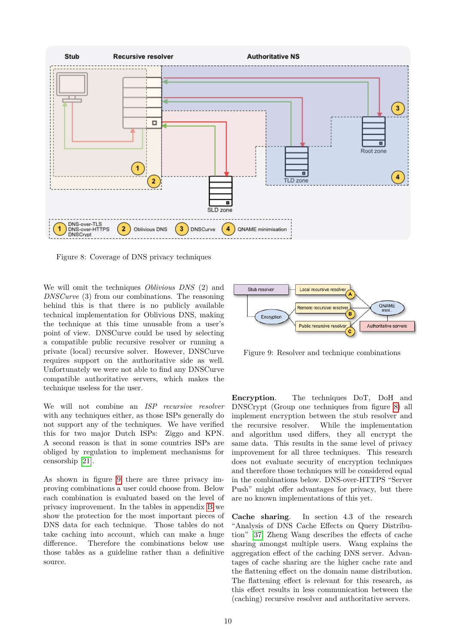

<span id="page-9-0"></span>Figure 8: Coverage of DNS privacy techniques

We will omit the techniques *Oblivious DNS* (2) and *DNSCurve* (3) from our combinations. The reasoning behind this is that there is no publicly available technical implementation for Oblivious DNS, making the technique at this time unusable from a user's point of view. DNSCurve could be used by selecting a compatible public recursive resolver or running a private (local) recursive solver. However, DNSCurve requires support on the authoritative side as well. Unfortunately we were not able to find any DNSCurve compatible authoritative servers, which makes the technique useless for the user.

We will not combine an *ISP recursive resolver* with any techniques either, as those ISPs generally do not support any of the techniques. We have verified this for two major Dutch ISPs: Ziggo and KPN. A second reason is that in some countries ISPs are obliged by regulation to implement mechanisms for censorship [\[21\]](#page-15-24).

As shown in figure [9](#page-9-1) there are three privacy improving combinations a user could choose from. Below each combination is evaluated based on the level of privacy improvement. In the tables in appendix [B](#page-14-0) we show the protection for the most important pieces of DNS data for each technique. Those tables do not take caching into account, which can make a huge difference. Therefore the combinations below use those tables as a guideline rather than a definitive source.



<span id="page-9-1"></span>Figure 9: Resolver and technique combinations

**Encryption**. The techniques DoT, DoH and DNSCrypt (Group one techniques from figure [8\)](#page-9-0) all implement encryption between the stub resolver and the recursive resolver. While the implementation and algorithm used differs, they all encrypt the same data. This results in the same level of privacy improvement for all three techniques. This research does not evaluate security of encryption techniques and therefore those techniques will be considered equal in the combinations below. DNS-over-HTTPS "Server Push" might offer advantages for privacy, but there are no known implementations of this yet.

**Cache sharing**. In section 4.3 of the research "Analysis of DNS Cache Effects on Query Distribution" [\[37\]](#page-16-14) Zheng Wang describes the effects of cache sharing amongst multiple users. Wang explains the aggregation effect of the caching DNS server. Advantages of cache sharing are the higher cache rate and the flattening effect on the domain name distribution. The flattening effect is relevant for this research, as this effect results in less communication between the (caching) recursive resolver and authoritative servers.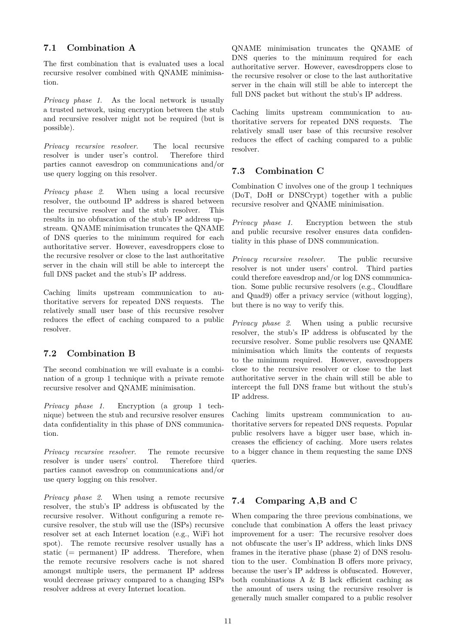#### **7.1 Combination A**

The first combination that is evaluated uses a local recursive resolver combined with QNAME minimisation.

*Privacy phase 1*. As the local network is usually a trusted network, using encryption between the stub and recursive resolver might not be required (but is possible).

*Privacy recursive resolver*. The local recursive resolver is under user's control. Therefore third parties cannot eavesdrop on communications and/or use query logging on this resolver.

*Privacy phase 2*. When using a local recursive resolver, the outbound IP address is shared between the recursive resolver and the stub resolver. This results in no obfuscation of the stub's IP address upstream. QNAME minimisation truncates the QNAME of DNS queries to the minimum required for each authoritative server. However, eavesdroppers close to the recursive resolver or close to the last authoritative server in the chain will still be able to intercept the full DNS packet and the stub's IP address.

Caching limits upstream communication to authoritative servers for repeated DNS requests. The relatively small user base of this recursive resolver reduces the effect of caching compared to a public resolver.

### **7.2 Combination B**

The second combination we will evaluate is a combination of a group 1 technique with a private remote recursive resolver and QNAME minimisation.

*Privacy phase 1*. Encryption (a group 1 technique) between the stub and recursive resolver ensures data confidentiality in this phase of DNS communication.

*Privacy recursive resolver*. The remote recursive resolver is under users' control. Therefore third parties cannot eavesdrop on communications and/or use query logging on this resolver.

*Privacy phase 2*. When using a remote recursive resolver, the stub's IP address is obfuscated by the recursive resolver. Without configuring a remote recursive resolver, the stub will use the (ISPs) recursive resolver set at each Internet location (e.g., WiFi hot spot). The remote recursive resolver usually has a static (= permanent) IP address. Therefore, when the remote recursive resolvers cache is not shared amongst multiple users, the permanent IP address would decrease privacy compared to a changing ISPs resolver address at every Internet location.

QNAME minimisation truncates the QNAME of DNS queries to the minimum required for each authoritative server. However, eavesdroppers close to the recursive resolver or close to the last authoritative server in the chain will still be able to intercept the full DNS packet but without the stub's IP address.

Caching limits upstream communication to authoritative servers for repeated DNS requests. The relatively small user base of this recursive resolver reduces the effect of caching compared to a public resolver.

#### **7.3 Combination C**

Combination C involves one of the group 1 techniques (DoT, DoH or DNSCrypt) together with a public recursive resolver and QNAME minimisation.

*Privacy phase 1*. Encryption between the stub and public recursive resolver ensures data confidentiality in this phase of DNS communication.

*Privacy recursive resolver*. The public recursive resolver is not under users' control. Third parties could therefore eavesdrop and/or log DNS communication. Some public recursive resolvers (e.g., Cloudflare and Quad9) offer a privacy service (without logging), but there is no way to verify this.

*Privacy phase 2*. When using a public recursive resolver, the stub's IP address is obfuscated by the recursive resolver. Some public resolvers use QNAME minimisation which limits the contents of requests to the minimum required. However, eavesdroppers close to the recursive resolver or close to the last authoritative server in the chain will still be able to intercept the full DNS frame but without the stub's IP address.

Caching limits upstream communication to authoritative servers for repeated DNS requests. Popular public resolvers have a bigger user base, which increases the efficiency of caching. More users relates to a bigger chance in them requesting the same DNS queries.

### **7.4 Comparing A,B and C**

When comparing the three previous combinations, we conclude that combination A offers the least privacy improvement for a user: The recursive resolver does not obfuscate the user's IP address, which links DNS frames in the iterative phase (phase 2) of DNS resolution to the user. Combination B offers more privacy, because the user's IP address is obfuscated. However, both combinations A & B lack efficient caching as the amount of users using the recursive resolver is generally much smaller compared to a public resolver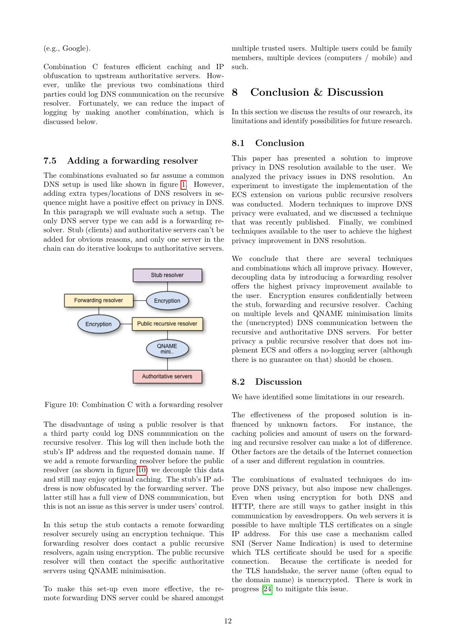(e.g., Google).

Combination C features efficient caching and IP obfuscation to upstream authoritative servers. However, unlike the previous two combinations third parties could log DNS communication on the recursive resolver. Fortunately, we can reduce the impact of logging by making another combination, which is discussed below.

#### **7.5 Adding a forwarding resolver**

The combinations evaluated so far assume a common DNS setup is used like shown in figure [1.](#page-2-0) However, adding extra types/locations of DNS resolvers in sequence might have a positive effect on privacy in DNS. In this paragraph we will evaluate such a setup. The only DNS server type we can add is a forwarding resolver. Stub (clients) and authoritative servers can't be added for obvious reasons, and only one server in the chain can do iterative lookups to authoritative servers.



<span id="page-11-0"></span>Figure 10: Combination C with a forwarding resolver

The disadvantage of using a public resolver is that a third party could log DNS communication on the recursive resolver. This log will then include both the stub's IP address and the requested domain name. If we add a remote forwarding resolver before the public resolver (as shown in figure [10\)](#page-11-0) we decouple this data and still may enjoy optimal caching. The stub's IP address is now obfuscated by the forwarding server. The latter still has a full view of DNS communication, but this is not an issue as this server is under users' control.

In this setup the stub contacts a remote forwarding resolver securely using an encryption technique. This forwarding resolver does contact a public recursive resolvers, again using encryption. The public recursive resolver will then contact the specific authoritative servers using QNAME minimisation.

To make this set-up even more effective, the remote forwarding DNS server could be shared amongst

multiple trusted users. Multiple users could be family members, multiple devices (computers / mobile) and such.

## **8 Conclusion & Discussion**

In this section we discuss the results of our research, its limitations and identify possibilities for future research.

#### **8.1 Conclusion**

This paper has presented a solution to improve privacy in DNS resolution available to the user. We analyzed the privacy issues in DNS resolution. An experiment to investigate the implementation of the ECS extension on various public recursive resolvers was conducted. Modern techniques to improve DNS privacy were evaluated, and we discussed a technique that was recently published. Finally, we combined techniques available to the user to achieve the highest privacy improvement in DNS resolution.

We conclude that there are several techniques and combinations which all improve privacy. However, decoupling data by introducing a forwarding resolver offers the highest privacy improvement available to the user. Encryption ensures confidentially between the stub, forwarding and recursive resolver. Caching on multiple levels and QNAME minimisation limits the (unencrypted) DNS communication between the recursive and authoritative DNS servers. For better privacy a public recursive resolver that does not implement ECS and offers a no-logging server (although there is no guarantee on that) should be chosen.

#### **8.2 Discussion**

We have identified some limitations in our research.

The effectiveness of the proposed solution is influenced by unknown factors. For instance, the caching policies and amount of users on the forwarding and recursive resolver can make a lot of difference. Other factors are the details of the Internet connection of a user and different regulation in countries.

The combinations of evaluated techniques do improve DNS privacy, but also impose new challenges. Even when using encryption for both DNS and HTTP, there are still ways to gather insight in this communication by eavesdroppers. On web servers it is possible to have multiple TLS certificates on a single IP address. For this use case a mechanism called SNI (Server Name Indication) is used to determine which TLS certificate should be used for a specific connection. Because the certificate is needed for the TLS handshake, the server name (often equal to the domain name) is unencrypted. There is work in progress [\[24\]](#page-15-25) to mitigate this issue.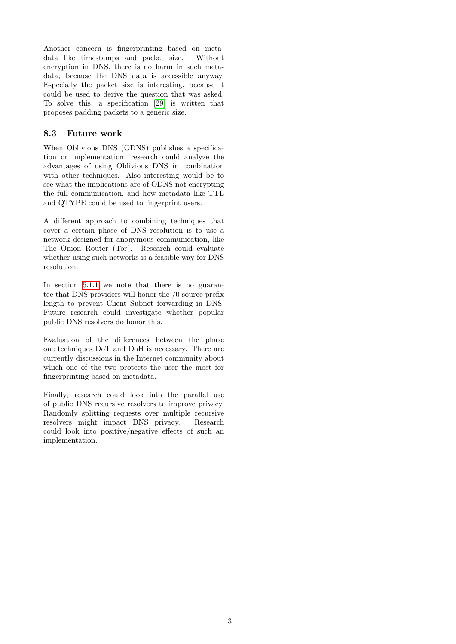Another concern is fingerprinting based on metadata like timestamps and packet size. Without encryption in DNS, there is no harm in such metadata, because the DNS data is accessible anyway. Especially the packet size is interesting, because it could be used to derive the question that was asked. To solve this, a specification [\[29\]](#page-16-11) is written that proposes padding packets to a generic size.

#### **8.3 Future work**

When Oblivious DNS (ODNS) publishes a specification or implementation, research could analyze the advantages of using Oblivious DNS in combination with other techniques. Also interesting would be to see what the implications are of ODNS not encrypting the full communication, and how metadata like TTL and QTYPE could be used to fingerprint users.

A different approach to combining techniques that cover a certain phase of DNS resolution is to use a network designed for anonymous communication, like The Onion Router (Tor). Research could evaluate whether using such networks is a feasible way for DNS resolution.

In section [5.1.1](#page-3-0) we note that there is no guarantee that DNS providers will honor the /0 source prefix length to prevent Client Subnet forwarding in DNS. Future research could investigate whether popular public DNS resolvers do honor this.

Evaluation of the differences between the phase one techniques DoT and DoH is necessary. There are currently discussions in the Internet community about which one of the two protects the user the most for fingerprinting based on metadata.

Finally, research could look into the parallel use of public DNS recursive resolvers to improve privacy. Randomly splitting requests over multiple recursive resolvers might impact DNS privacy. Research could look into positive/negative effects of such an implementation.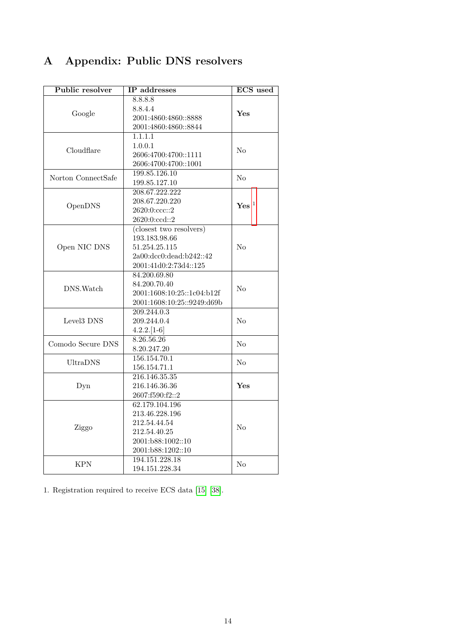# <span id="page-13-0"></span>**A Appendix: Public DNS resolvers**

| Public resolver        | IP addresses                          | <b>ECS</b> used    |  |  |  |
|------------------------|---------------------------------------|--------------------|--|--|--|
|                        | 8.8.8.8                               |                    |  |  |  |
|                        | 8.8.4.4                               |                    |  |  |  |
| Google                 | 2001:4860:4860::8888                  | ${\bf Yes}$        |  |  |  |
|                        | 2001:4860:4860::8844                  |                    |  |  |  |
|                        | 1.1.1.1                               |                    |  |  |  |
| Cloudflare             | 1.0.0.1                               |                    |  |  |  |
|                        | 2606:4700:4700::1111                  |                    |  |  |  |
|                        | 2606:4700:4700::1001                  |                    |  |  |  |
|                        | 199.85.126.10                         |                    |  |  |  |
| Norton ConnectSafe     | 199.85.127.10                         | No                 |  |  |  |
|                        | 208.67.222.222                        |                    |  |  |  |
| OpenDNS                | 208.67.220.220                        | $\mathbf{Yes}\ ^1$ |  |  |  |
|                        | 2620:0:ccc::2                         |                    |  |  |  |
|                        | 2620:0:ccd::2                         |                    |  |  |  |
|                        | (closest two resolvers)               |                    |  |  |  |
|                        | 193.183.98.66                         |                    |  |  |  |
| Open NIC DNS           | 51.254.25.115                         | No                 |  |  |  |
|                        | 2a00:dcc0:dead:b242::42               |                    |  |  |  |
|                        | 2001:41d0:2:73d4::125                 |                    |  |  |  |
|                        | 84.200.69.80                          |                    |  |  |  |
|                        | 84.200.70.40                          |                    |  |  |  |
| DNS. Watch             | 2001:1608:10:25::1c04:b12f            |                    |  |  |  |
|                        | 2001:1608:10:25::9249:d69b            |                    |  |  |  |
|                        | 209.244.0.3                           |                    |  |  |  |
| Level <sub>3</sub> DNS | 209.244.0.4                           |                    |  |  |  |
|                        | $4.2.2.[1-6]$                         |                    |  |  |  |
|                        | 8.26.56.26                            |                    |  |  |  |
| Comodo Secure DNS      | 8.20.247.20                           | N <sub>o</sub>     |  |  |  |
|                        | 156.154.70.1                          |                    |  |  |  |
| <b>UltraDNS</b>        | 156.154.71.1                          | No                 |  |  |  |
| Dyn                    | 216.146.35.35                         |                    |  |  |  |
|                        | 216.146.36.36                         | Yes                |  |  |  |
|                        | 2607:f590:f2::2                       |                    |  |  |  |
|                        | 62.179.104.196                        |                    |  |  |  |
|                        | 213.46.228.196                        |                    |  |  |  |
|                        | 212.54.44.54<br>Ziggo<br>212.54.40.25 |                    |  |  |  |
|                        |                                       |                    |  |  |  |
|                        | 2001:b88:1002::10                     |                    |  |  |  |
|                        | 2001:b88:1202::10                     |                    |  |  |  |
|                        | $19\overline{4.151.228.18}$           |                    |  |  |  |
| KPN                    | 194.151.228.34                        | No                 |  |  |  |
|                        |                                       |                    |  |  |  |

1. Registration required to receive ECS data [\[15\]](#page-15-26) [\[38\]](#page-16-15).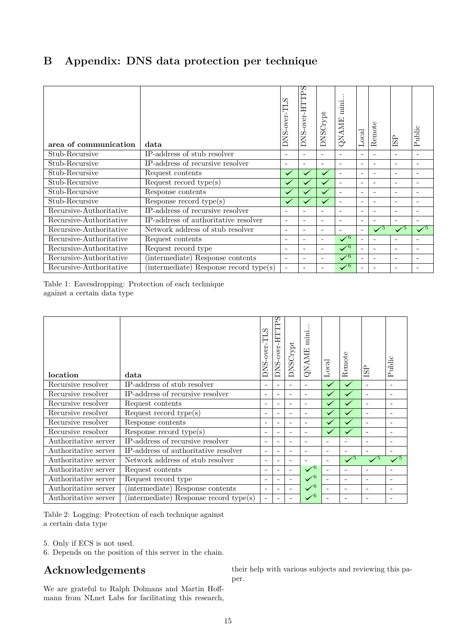# <span id="page-14-0"></span>**B Appendix: DNS data protection per technique**

| area of communication   | data                                              | DNS-over-TLS             | S<br>DNS-over-HTTP       | DNSCrypt                 | mini<br>QNAME            | Local                        | Remote                   | <b>ISP</b>               | Public                   |
|-------------------------|---------------------------------------------------|--------------------------|--------------------------|--------------------------|--------------------------|------------------------------|--------------------------|--------------------------|--------------------------|
| Stub-Recursive          | $\overline{\text{IP-} }$ address of stub resolver | $\overline{\phantom{a}}$ | $\overline{\phantom{0}}$ | $\overline{\phantom{m}}$ |                          | $\overline{\phantom{m}}$     |                          | $\overline{\phantom{a}}$ |                          |
| Stub-Recursive          | IP-address of recursive resolver                  | $\overline{\phantom{a}}$ | $\overline{\phantom{0}}$ | $\overline{\phantom{a}}$ | $\overline{\phantom{a}}$ | $\sim$                       | ۰                        | $\overline{\phantom{a}}$ |                          |
| Stub-Recursive          | Request contents                                  | $\checkmark$             |                          |                          |                          | ۰                            | ۰                        | $\overline{\phantom{a}}$ | $\overline{\phantom{0}}$ |
| Stub-Recursive          | Request record type( $s$ )                        | $\checkmark$             | $\checkmark$             |                          |                          | $\overline{\phantom{m}}$     | ۰                        | $\overline{\phantom{a}}$ | $\overline{\phantom{0}}$ |
| Stub-Recursive          | Response contents                                 |                          | $\checkmark$             |                          |                          | ۰                            |                          | $\overline{\phantom{a}}$ | $\overline{\phantom{0}}$ |
| Stub-Recursive          | Response record type(s)                           | $\checkmark$             | $\checkmark$             | $\checkmark$             |                          | $\overline{\phantom{a}}$     | ۰                        | $\overline{\phantom{a}}$ | $\overline{\phantom{0}}$ |
| Recursive-Authoritative | IP-address of recursive resolver                  | $\overline{\phantom{a}}$ | $\overline{\phantom{a}}$ | $\overline{\phantom{a}}$ |                          | $\qquad \qquad \blacksquare$ | ۰                        | $\overline{\phantom{a}}$ | $\overline{\phantom{a}}$ |
| Recursive-Authoritative | IP-address of authoritative resolver              | $\overline{\phantom{a}}$ | $\overline{\phantom{a}}$ | $\overline{\phantom{a}}$ | $\overline{\phantom{a}}$ | $\overline{\phantom{a}}$     | ۰                        | $\overline{\phantom{a}}$ | $\overline{\phantom{0}}$ |
| Recursive-Authoritative | Network address of stub resolver                  | $\overline{\phantom{a}}$ | $\overline{\phantom{0}}$ | $\overline{\phantom{m}}$ |                          | $\sim$                       | $\sqrt{5}$               | $\sqrt{5}$               | $\sqrt{5}$               |
| Recursive-Authoritative | Request contents                                  | $\overline{\phantom{a}}$ | $\overline{\phantom{0}}$ | $\overline{\phantom{a}}$ | $\sqrt{6}$               |                              | $\overline{\phantom{a}}$ | $\overline{\phantom{a}}$ | $\overline{\phantom{0}}$ |
| Recursive-Authoritative | Request record type                               | $\overline{\phantom{a}}$ | $\overline{\phantom{0}}$ | $\overline{\phantom{a}}$ | $\sqrt{6}$               | $\overline{\phantom{a}}$     | $\overline{\phantom{a}}$ | $\overline{\phantom{a}}$ | $\overline{\phantom{0}}$ |
| Recursive-Authoritative | (intermediate) Response contents                  | $\overline{\phantom{a}}$ | $\overline{\phantom{0}}$ | $\overline{\phantom{a}}$ | $\sqrt{6}$               |                              | ۰                        | $\overline{\phantom{a}}$ | $\overline{\phantom{0}}$ |
| Recursive-Authoritative | (intermediate) Response record type(s)            | $\overline{\phantom{a}}$ | $\overline{\phantom{0}}$ | $\overline{\phantom{a}}$ | $\sqrt{6}$               |                              |                          | $\overline{\phantom{a}}$ |                          |

Table 1: Eavesdropping: Protection of each technique against a certain data type

| location             | data                                   | -over-TLS<br>DNS.        | ဟ<br>Ê<br>DNS-over-HT    | <b>DNSCrypt</b>          | QNAME mini               | Local                    | Remote                   | ISР                      | Public                   |
|----------------------|----------------------------------------|--------------------------|--------------------------|--------------------------|--------------------------|--------------------------|--------------------------|--------------------------|--------------------------|
| Recursive resolver   | IP-address of stub resolver            | ۰                        | $\overline{a}$           |                          |                          | $\checkmark$             | $\checkmark$             |                          |                          |
| Recursive resolver   | IP-address of recursive resolver       | ۰                        | $\overline{\phantom{0}}$ |                          | $\overline{\phantom{0}}$ | $\checkmark$             | $\checkmark$             | $\overline{a}$           |                          |
| Recursive resolver   | Request contents                       | ۰                        | $\overline{\phantom{a}}$ | ٠                        | $\overline{\phantom{0}}$ |                          |                          | $\blacksquare$           | $\overline{\phantom{a}}$ |
| Recursive resolver   | Request record type(s)                 |                          | ۰                        |                          |                          | $\checkmark$             | $\checkmark$             | $\overline{a}$           |                          |
| Recursive resolver   | Response contents                      | ٠                        | $\overline{\phantom{a}}$ |                          |                          | $\checkmark$             |                          |                          |                          |
| Recursive resolver   | Response record $type(s)$              |                          | $\overline{\phantom{m}}$ | ÷                        | $\overline{\phantom{0}}$ | $\checkmark$             | $\checkmark$             |                          |                          |
| Authoritative server | IP-address of recursive resolver       | $\overline{\phantom{a}}$ | $\overline{\phantom{a}}$ | $\overline{\phantom{a}}$ | $\overline{\phantom{0}}$ | $\overline{a}$           | $\overline{\phantom{a}}$ | $\overline{\phantom{0}}$ | $\overline{\phantom{0}}$ |
| Authoritative server | IP-address of authoritative resolver   | ۰                        | ۰                        | ۰                        |                          | $\overline{\phantom{0}}$ |                          |                          |                          |
| Authoritative server | Network address of stub resolver       | ٠                        | $\blacksquare$           | $\overline{\phantom{0}}$ |                          | $\overline{\phantom{0}}$ | $\sqrt{5}$               | $\sqrt{5}$               | $\sqrt{5}$               |
| Authoritative server | Request contents                       | ÷                        | $\overline{\phantom{a}}$ | $\overline{\phantom{a}}$ | $\sqrt{6}$               | $\blacksquare$           | $\overline{\phantom{a}}$ |                          |                          |
| Authoritative server | Request record type                    | ۰                        | $\overline{\phantom{a}}$ |                          | $\sqrt{6}$               | $\overline{\phantom{0}}$ | $\overline{\phantom{a}}$ | $\overline{\phantom{a}}$ |                          |
| Authoritative server | (intermediate) Response contents       | $\overline{\phantom{a}}$ | ۰                        |                          | $\sqrt{6}$               |                          | $\blacksquare$           | $\overline{\phantom{a}}$ |                          |
| Authoritative server | (intermediate) Response record type(s) | $\overline{a}$           |                          |                          | $\sqrt{6}$               |                          |                          |                          |                          |

Table 2: Logging: Protection of each technique against a certain data type

- 5. Only if ECS is not used.
- 6. Depends on the position of this server in the chain.

# **Acknowledgements**

We are grateful to Ralph Dolmans and Martin Hoffmann from NLnet Labs for facilitating this research,

their help with various subjects and reviewing this paper.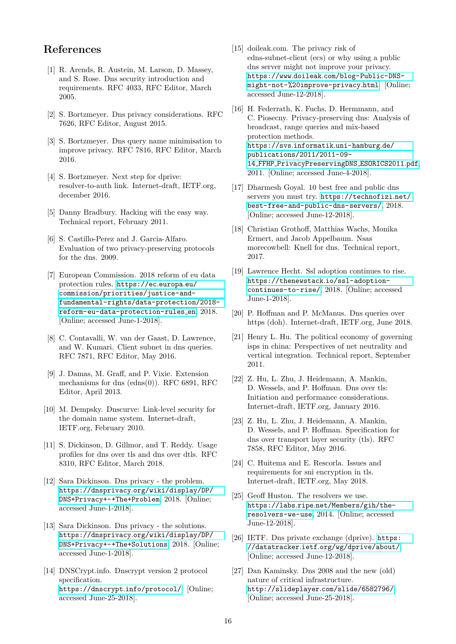## **References**

- <span id="page-15-10"></span>[1] R. Arends, R. Austein, M. Larson, D. Massey, and S. Rose. Dns security introduction and requirements. RFC 4033, RFC Editor, March 2005.
- <span id="page-15-7"></span>[2] S. Bortzmeyer. Dns privacy considerations. RFC 7626, RFC Editor, August 2015.
- <span id="page-15-23"></span>[3] S. Bortzmeyer. Dns query name minimisation to improve privacy. RFC 7816, RFC Editor, March 2016.
- <span id="page-15-16"></span>[4] S. Bortzmeyer. Next step for dprive: resolver-to-auth link. Internet-draft, IETF.org, december 2016.
- <span id="page-15-11"></span>[5] Danny Bradbury. Hacking wifi the easy way. Technical report, February 2011.
- <span id="page-15-8"></span>[6] S. Castillo-Perez and J. Garcia-Alfaro. Evaluation of two privacy-preserving protocols for the dns. 2009.
- <span id="page-15-0"></span>[7] European Commission. 2018 reform of eu data protection rules. [https://ec](https://ec.europa.eu/commission/priorities/justice-and-fundamental-rights/data-protection/2018-reform-eu-data-protection-rules_en)*.*europa*.*eu/ [commission/priorities/justice-and](https://ec.europa.eu/commission/priorities/justice-and-fundamental-rights/data-protection/2018-reform-eu-data-protection-rules_en)[fundamental-rights/data-protection/2018](https://ec.europa.eu/commission/priorities/justice-and-fundamental-rights/data-protection/2018-reform-eu-data-protection-rules_en) [reform-eu-data-protection-rules](https://ec.europa.eu/commission/priorities/justice-and-fundamental-rights/data-protection/2018-reform-eu-data-protection-rules_en) en, 2018. [Online; accessed June-1-2018].
- <span id="page-15-13"></span>[8] C. Contavalli, W. van der Gaast, D. Lawrence, and W. Kumari. Client subnet in dns queries. RFC 7871, RFC Editor, May 2016.
- <span id="page-15-12"></span>[9] J. Damas, M. Graff, and P. Vixie. Extension mechanisms for dns (edns(0)). RFC 6891, RFC Editor, April 2013.
- <span id="page-15-20"></span>[10] M. Dempsky. Dnscurve: Link-level security for the domain name system. Internet-draft, IETF.org, February 2010.
- <span id="page-15-17"></span>[11] S. Dickinson, D. Gillmor, and T. Reddy. Usage profiles for dns over tls and dns over dtls. RFC 8310, RFC Editor, March 2018.
- <span id="page-15-2"></span>[12] Sara Dickinson. Dns privacy - the problem. https://dnsprivacy*.*[org/wiki/display/DP/](https://dnsprivacy.org/wiki/display/DP/DNS+Privacy+-+The+Problem) [DNS+Privacy+-+The+Problem](https://dnsprivacy.org/wiki/display/DP/DNS+Privacy+-+The+Problem), 2018. [Online; accessed June-1-2018].
- <span id="page-15-5"></span>[13] Sara Dickinson. Dns privacy - the solutions. https://dnsprivacy*.*[org/wiki/display/DP/](https://dnsprivacy.org/wiki/display/DP/DNS+Privacy+-+The+Solutions) [DNS+Privacy+-+The+Solutions](https://dnsprivacy.org/wiki/display/DP/DNS+Privacy+-+The+Solutions), 2018. [Online; accessed June-1-2018].
- <span id="page-15-21"></span>[14] DNSCrypt.info. Dnscrypt version 2 protocol specification. [https://dnscrypt](https://dnscrypt.info/protocol/)*.*info/protocol/. [Online; accessed June-25-2018].
- <span id="page-15-26"></span>[15] doileak.com. The privacy risk of edns-subnet-client (ecs) or why using a public dns server might not improve your privacy. https://www*.*doileak*.*[com/blog-Public-DNS](https://www.doileak.com/blog-Public-DNS-might-not-%20improve-privacy.html)[might-not-%20improve-privacy](https://www.doileak.com/blog-Public-DNS-might-not-%20improve-privacy.html)*.*html. [Online; accessed June-12-2018].
- <span id="page-15-9"></span>[16] H. Federrath, K. Fuchs, D. Hermmann, and C. Piosecny. Privacy-preserving dns: Analysis of broadcast, range queries and mix-based protection methods. https://svs*.*informatik*.*[uni-hamburg](https://svs.informatik.uni-hamburg.de/publications/2011/2011-09-14_FFHP_PrivacyPreservingDNS_ESORICS2011.pdf)*.*de/ [publications/2011/2011-09-](https://svs.informatik.uni-hamburg.de/publications/2011/2011-09-14_FFHP_PrivacyPreservingDNS_ESORICS2011.pdf) 14 FFHP [PrivacyPreservingDNS](https://svs.informatik.uni-hamburg.de/publications/2011/2011-09-14_FFHP_PrivacyPreservingDNS_ESORICS2011.pdf) ESORICS2011*.*pdf, 2011. [Online; accessed June-4-2018].
- <span id="page-15-14"></span>[17] Dharmesh Goyal. 10 best free and public dns servers you must try. [https://technofizi](https://technofizi.net/best-free-and-public-dns-servers/)*.*net/ [best-free-and-public-dns-servers/](https://technofizi.net/best-free-and-public-dns-servers/), 2018. [Online; accessed June-12-2018].
- <span id="page-15-3"></span>[18] Christian Grothoff, Matthias Wachs, Monika Ermert, and Jacob Appelbaum. Nsas morecowbell: Knell for dns. Technical report, 2017.
- <span id="page-15-1"></span>[19] Lawrence Hecht. Ssl adoption continues to rise. [https://thenewstack](https://thenewstack.io/ssl-adoption-continues-to-rise/)*.*io/ssl-adoption[continues-to-rise/](https://thenewstack.io/ssl-adoption-continues-to-rise/), 2018. [Online; accessed June-1-2018].
- <span id="page-15-19"></span>[20] P. Hoffman and P. McManus. Dns queries over https (doh). Internet-draft, IETF.org, June 2018.
- <span id="page-15-24"></span>[21] Henry L. Hu. The political economy of governing isps in china: Perspectives of net neutrality and vertical integration. Technical report, September 2011.
- <span id="page-15-18"></span>[22] Z. Hu, L. Zhu, J. Heidemann, A. Mankin, D. Wessels, and P. Hoffman. Dns over tls: Initiation and performance considerations. Internet-draft, IETF.org, January 2016.
- <span id="page-15-15"></span>[23] Z. Hu, L. Zhu, J. Heidemann, A. Mankin, D. Wessels, and P. Hoffman. Specification for dns over transport layer security (tls). RFC 7858, RFC Editor, May 2016.
- <span id="page-15-25"></span>[24] C. Huitema and E. Rescorla. Issues and requirements for sni encryption in tls. Internet-draft, IETF.org, May 2018.
- <span id="page-15-4"></span>[25] Geoff Huston. The resolvers we use. https://labs*.*ripe*.*[net/Members/gih/the](https://labs.ripe.net/Members/gih/the-resolvers-we-use)[resolvers-we-use](https://labs.ripe.net/Members/gih/the-resolvers-we-use), 2014. [Online; accessed June-12-2018].
- <span id="page-15-6"></span>[26] IETF. Dns private exchange (dprive). [https:](https://datatracker.ietf.org/wg/dprive/about/) //datatracker*.*ietf*.*[org/wg/dprive/about/](https://datatracker.ietf.org/wg/dprive/about/). [Online; accessed June-12-2018].
- <span id="page-15-22"></span>[27] Dan Kaminsky. Dns 2008 and the new (old) nature of critical infrastructure. [http://slideplayer](http://slideplayer.com/slide/6582796/)*.*com/slide/6582796/. [Online; accessed June-25-2018].